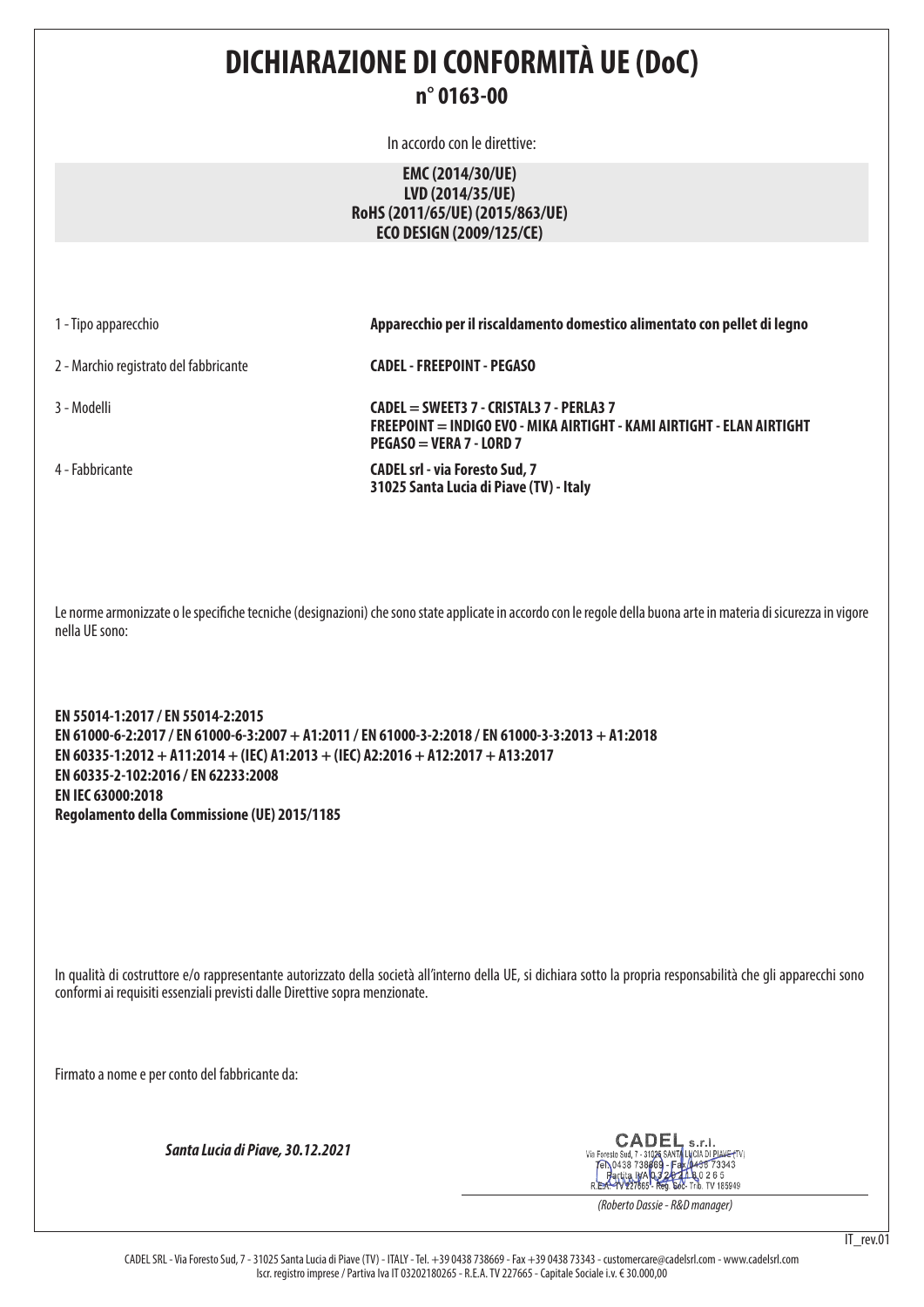# **DICHIARAZIONE DI CONFORMITÀ UE (DoC) n° 0163-00**

In accordo con le direttive:

## **EMC (2014/30/UE) LVD (2014/35/UE) RoHS (2011/65/UE) (2015/863/UE) ECO DESIGN (2009/125/CE)**

1 - Tipo apparecchio **Apparecchio per il riscaldamento domestico alimentato con pellet di legno**

2 - Marchio registrato del fabbricante **CADEL - FREEPOINT - PEGASO**

3 - Modelli **CADEL = SWEET3 7 - CRISTAL3 7 - PERLA3 7 FREEPOINT = INDIGO EVO - MIKA AIRTIGHT - KAMI AIRTIGHT - ELAN AIRTIGHT PEGASO = VERA 7 - LORD 7**

4 - Fabbricante **CADEL srl - via Foresto Sud, 7 31025 Santa Lucia di Piave (TV) - Italy**

Le norme armonizzate o le specifiche tecniche (designazioni) che sono state applicate in accordo con le regole della buona arte in materia di sicurezza in vigore nella UE sono:

**EN 55014-1:2017 / EN 55014-2:2015 EN 61000-6-2:2017 / EN 61000-6-3:2007 + A1:2011 / EN 61000-3-2:2018 / EN 61000-3-3:2013 + A1:2018 EN 60335-1:2012 + A11:2014 + (IEC) A1:2013 + (IEC) A2:2016 + A12:2017 + A13:2017 EN 60335-2-102:2016 / EN 62233:2008 EN IEC 63000:2018 Regolamento della Commissione (UE) 2015/1185**

In qualità di costruttore e/o rappresentante autorizzato della società all'interno della UE, si dichiara sotto la propria responsabilità che gli apparecchi sono conformi ai requisiti essenziali previsti dalle Direttive sopra menzionate.

Firmato a nome e per conto del fabbricante da:

*Santa Lucia di Piave, 30.12.2021*

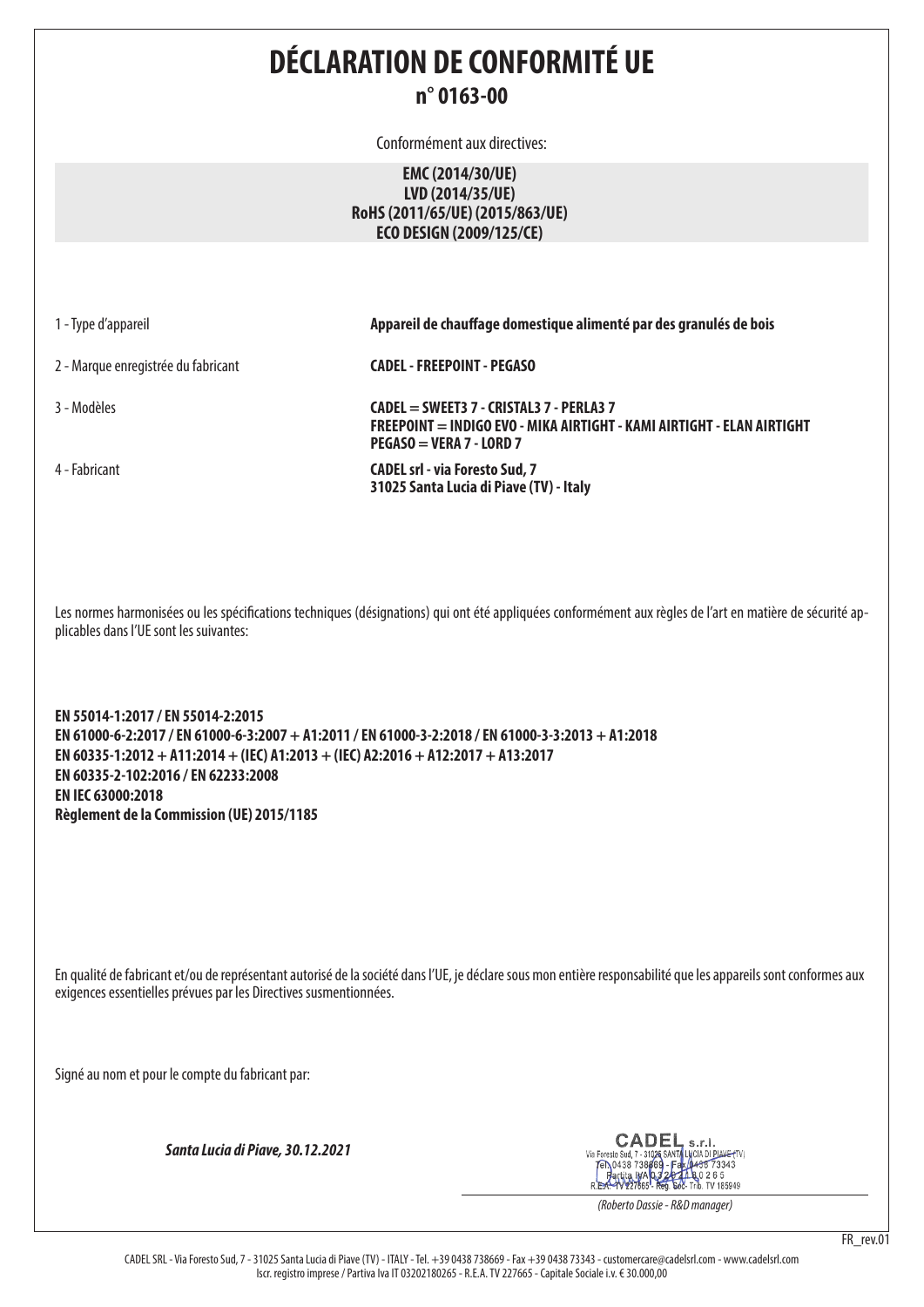# **DÉCLARATION DE CONFORMITÉ UE n° 0163-00**

Conformément aux directives:

### **EMC (2014/30/UE) LVD (2014/35/UE) RoHS (2011/65/UE) (2015/863/UE) ECO DESIGN (2009/125/CE)**

1 - Type d'appareil **Appareil de chauffage domestique alimenté par des granulés de bois**

2 - Marque enregistrée du fabricant **CADEL - FREEPOINT - PEGASO**

3 - Modèles **CADEL = SWEET3 7 - CRISTAL3 7 - PERLA3 7 FREEPOINT = INDIGO EVO - MIKA AIRTIGHT - KAMI AIRTIGHT - ELAN AIRTIGHT PEGASO = VERA 7 - LORD 7**

4 - Fabricant **CADEL srl - via Foresto Sud, 7 31025 Santa Lucia di Piave (TV) - Italy**

Les normes harmonisées ou les spécifications techniques (désignations) qui ont été appliquées conformément aux règles de l'art en matière de sécurité applicables dans l'UE sont les suivantes:

**EN 55014-1:2017 / EN 55014-2:2015 EN 61000-6-2:2017 / EN 61000-6-3:2007 + A1:2011 / EN 61000-3-2:2018 / EN 61000-3-3:2013 + A1:2018 EN 60335-1:2012 + A11:2014 + (IEC) A1:2013 + (IEC) A2:2016 + A12:2017 + A13:2017 EN 60335-2-102:2016 / EN 62233:2008 EN IEC 63000:2018 Règlement de la Commission (UE) 2015/1185**

En qualité de fabricant et/ou de représentant autorisé de la société dans l'UE, je déclare sous mon entière responsabilité que les appareils sont conformes aux exigences essentielles prévues par les Directives susmentionnées.

Signé au nom et pour le compte du fabricant par:

*Santa Lucia di Piave, 30.12.2021*

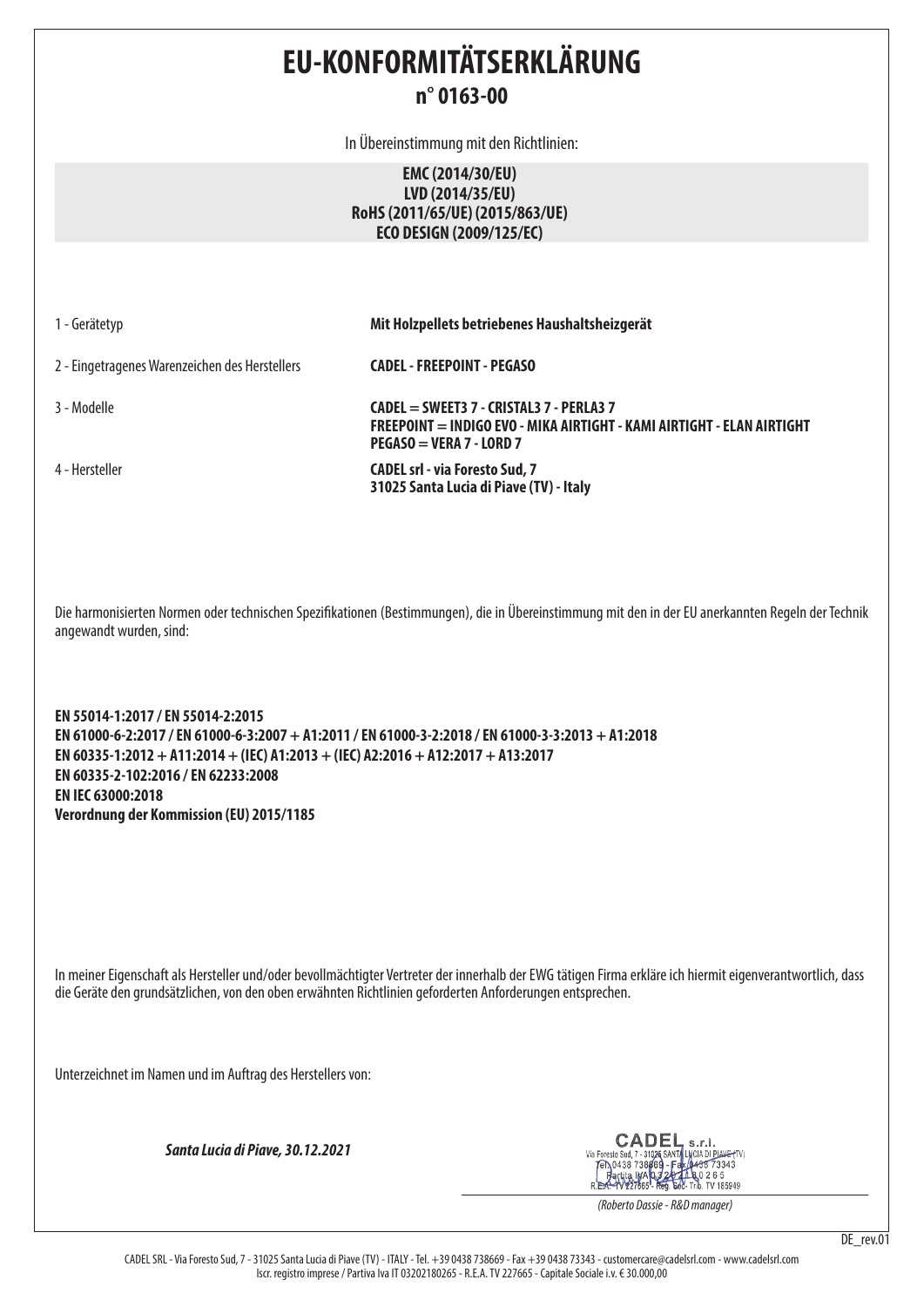# **EU-KONFORMITÄTSERKLÄRUNG n° 0163-00**

In Übereinstimmung mit den Richtlinien:

**EMC (2014/30/EU) LVD (2014/35/EU) RoHS (2011/65/UE) (2015/863/UE) ECO DESIGN (2009/125/EC)**

1 - Gerätetyp **Mit Holzpellets betriebenes Haushaltsheizgerät**

2 - Eingetragenes Warenzeichen des Herstellers **CADEL - FREEPOINT - PEGASO**

3 - Modelle **CADEL = SWEET3 7 - CRISTAL3 7 - PERLA3 7 FREEPOINT = INDIGO EVO - MIKA AIRTIGHT - KAMI AIRTIGHT - ELAN AIRTIGHT PEGASO = VERA 7 - LORD 7**

4 - Hersteller **CADEL srl - via Foresto Sud, 7 31025 Santa Lucia di Piave (TV) - Italy**

Die harmonisierten Normen oder technischen Spezifikationen (Bestimmungen), die in Übereinstimmung mit den in der EU anerkannten Regeln der Technik angewandt wurden, sind:

**EN 55014-1:2017 / EN 55014-2:2015 EN 61000-6-2:2017 / EN 61000-6-3:2007 + A1:2011 / EN 61000-3-2:2018 / EN 61000-3-3:2013 + A1:2018 EN 60335-1:2012 + A11:2014 + (IEC) A1:2013 + (IEC) A2:2016 + A12:2017 + A13:2017 EN 60335-2-102:2016 / EN 62233:2008 EN IEC 63000:2018 Verordnung der Kommission (EU) 2015/1185**

In meiner Eigenschaft als Hersteller und/oder bevollmächtigter Vertreter der innerhalb der EWG tätigen Firma erkläre ich hiermit eigenverantwortlich, dass die Geräte den grundsätzlichen, von den oben erwähnten Richtlinien geforderten Anforderungen entsprechen.

Unterzeichnet im Namen und im Auftrag des Herstellers von:

*Santa Lucia di Piave, 30.12.2021*

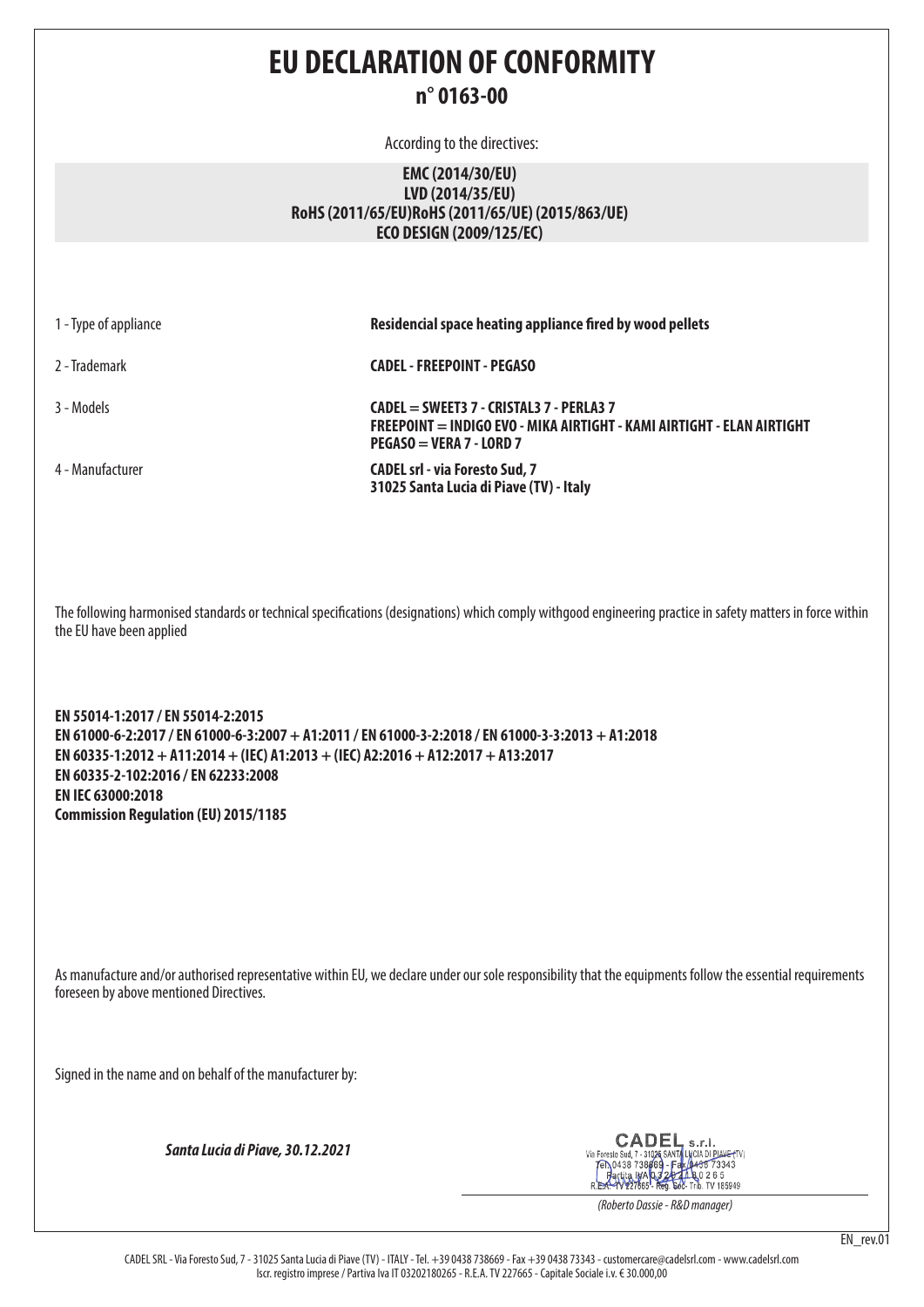# **EU DECLARATION OF CONFORMITY n° 0163-00**

According to the directives:

## **EMC (2014/30/EU) LVD (2014/35/EU) RoHS (2011/65/EU)RoHS (2011/65/UE) (2015/863/UE) ECO DESIGN (2009/125/EC)**

| 1 - Type of appliance | Residencial space heating appliance fired by wood pellets                                                                                        |
|-----------------------|--------------------------------------------------------------------------------------------------------------------------------------------------|
| 2 - Trademark         | <b>CADEL - FREEPOINT - PEGASO</b>                                                                                                                |
| 3 - Models            | CADEL = SWEET3 7 - CRISTAL3 7 - PERLA3 7<br>FREEPOINT = INDIGO EVO - MIKA AIRTIGHT - KAMI AIRTIGHT - ELAN AIRTIGHT<br>$PEGASO = VERA 7 - LORD 7$ |
| 4 - Manufacturer      | <b>CADEL srl - via Foresto Sud, 7</b><br>31025 Santa Lucia di Piave (TV) - Italy                                                                 |
|                       |                                                                                                                                                  |

The following harmonised standards or technical specifications (designations) which comply withgood engineering practice in safety matters in force within the EU have been applied

**EN 55014-1:2017 / EN 55014-2:2015 EN 61000-6-2:2017 / EN 61000-6-3:2007 + A1:2011 / EN 61000-3-2:2018 / EN 61000-3-3:2013 + A1:2018 EN 60335-1:2012 + A11:2014 + (IEC) A1:2013 + (IEC) A2:2016 + A12:2017 + A13:2017 EN 60335-2-102:2016 / EN 62233:2008 EN IEC 63000:2018 Commission Regulation (EU) 2015/1185**

As manufacture and/or authorised representative within EU, we declare under our sole responsibility that the equipments follow the essential requirements foreseen by above mentioned Directives.

Signed in the name and on behalf of the manufacturer by:

*Santa Lucia di Piave, 30.12.2021*

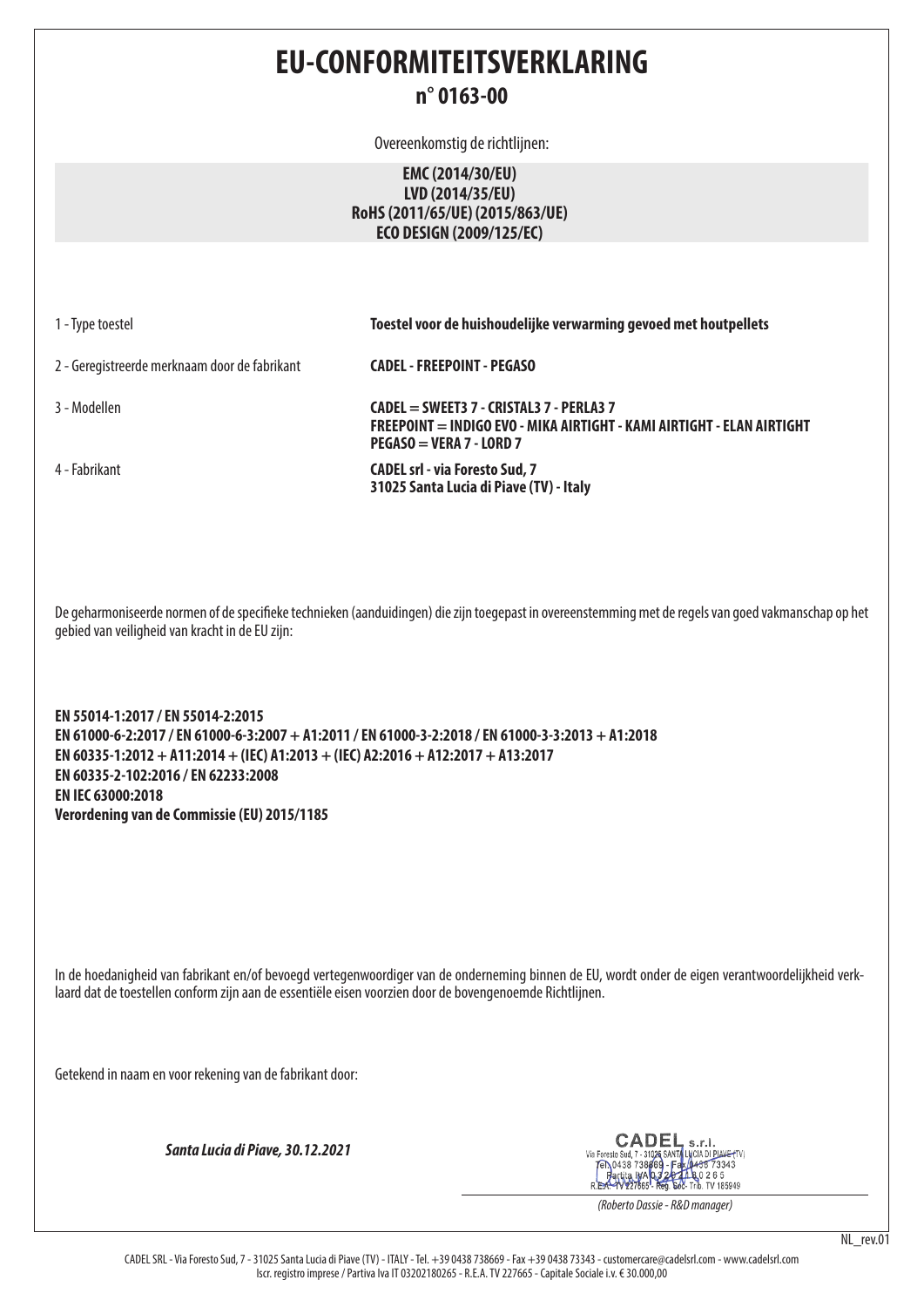# **EU-CONFORMITEITSVERKLARING n° 0163-00**

Overeenkomstig de richtlijnen:

## **EMC (2014/30/EU) LVD (2014/35/EU) RoHS (2011/65/UE) (2015/863/UE) ECO DESIGN (2009/125/EC)**

1 - Type toestel **Toestel voor de huishoudelijke verwarming gevoed met houtpellets**

2 - Geregistreerde merknaam door de fabrikant **CADEL - FREEPOINT - PEGASO**

3 - Modellen **CADEL = SWEET3 7 - CRISTAL3 7 - PERLA3 7 FREEPOINT = INDIGO EVO - MIKA AIRTIGHT - KAMI AIRTIGHT - ELAN AIRTIGHT PEGASO = VERA 7 - LORD 7**

4 - Fabrikant **CADEL srl - via Foresto Sud, 7 31025 Santa Lucia di Piave (TV) - Italy**

De geharmoniseerde normen of de specifieke technieken (aanduidingen) die zijn toegepast in overeenstemming met de regels van goed vakmanschap op het gebied van veiligheid van kracht in de EU zijn:

**EN 55014-1:2017 / EN 55014-2:2015 EN 61000-6-2:2017 / EN 61000-6-3:2007 + A1:2011 / EN 61000-3-2:2018 / EN 61000-3-3:2013 + A1:2018 EN 60335-1:2012 + A11:2014 + (IEC) A1:2013 + (IEC) A2:2016 + A12:2017 + A13:2017 EN 60335-2-102:2016 / EN 62233:2008 EN IEC 63000:2018 Verordening van de Commissie (EU) 2015/1185**

In de hoedanigheid van fabrikant en/of bevoegd vertegenwoordiger van de onderneming binnen de EU, wordt onder de eigen verantwoordelijkheid verklaard dat de toestellen conform zijn aan de essentiële eisen voorzien door de bovengenoemde Richtlijnen.

Getekend in naam en voor rekening van de fabrikant door:

*Santa Lucia di Piave, 30.12.2021*



*(Roberto Dassie - R&D manager)*

NL\_rev.01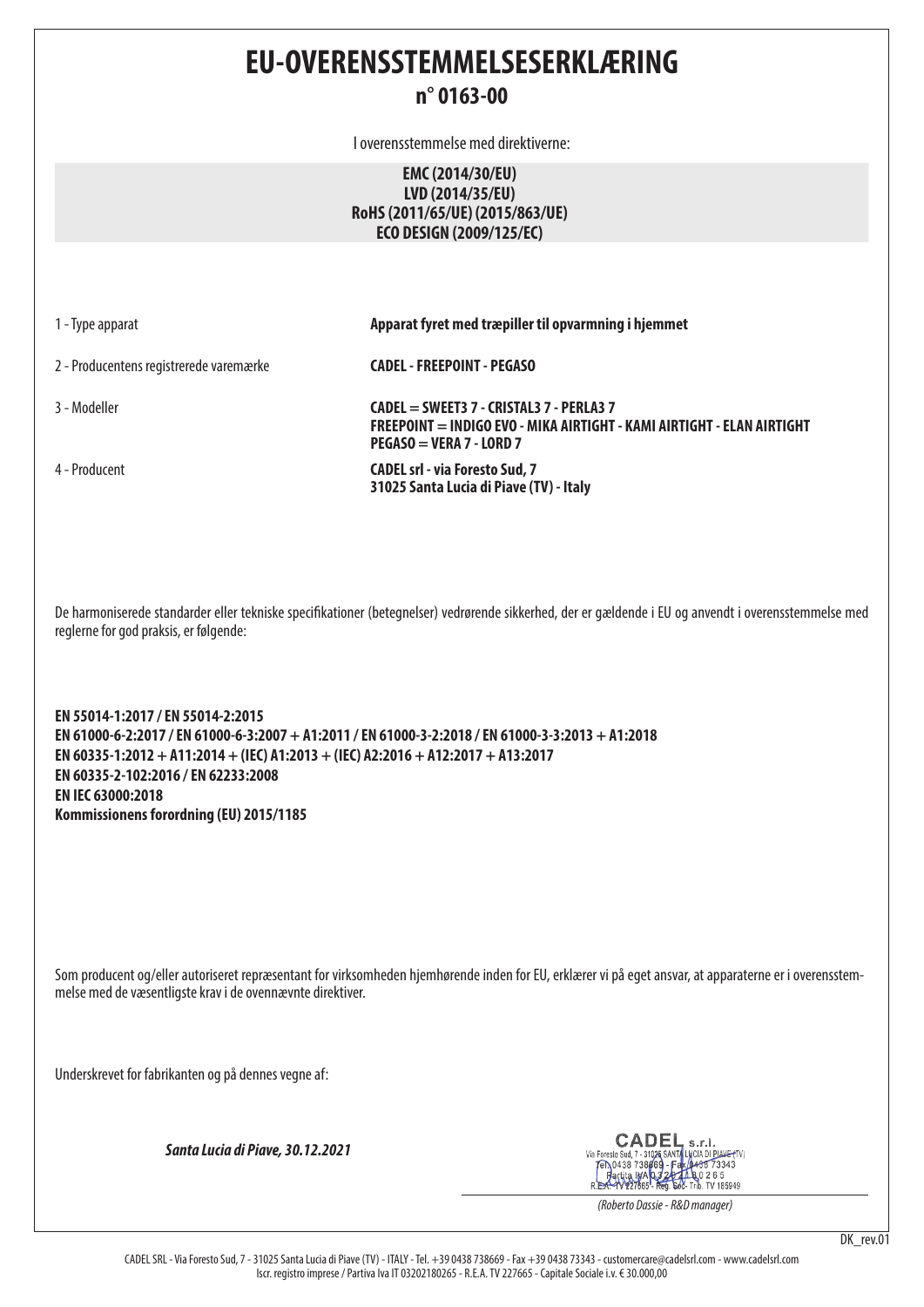# **EU-OVERENSSTEMMELSESERKLÆRING**

## **n° 0163-00**

I overensstemmelse med direktiverne:

## **EMC (2014/30/EU) LVD (2014/35/EU) RoHS (2011/65/UE) (2015/863/UE) ECO DESIGN (2009/125/EC)**

1 - Type apparat **Apparat fyret med træpiller til opvarmning i hjemmet**

2 - Producentens registrerede varemærke **CADEL - FREEPOINT - PEGASO**

3 - Modeller **CADEL = SWEET3 7 - CRISTAL3 7 - PERLA3 7 FREEPOINT = INDIGO EVO - MIKA AIRTIGHT - KAMI AIRTIGHT - ELAN AIRTIGHT PEGASO = VERA 7 - LORD 7**

4 - Producent **CADEL srl - via Foresto Sud, 7 31025 Santa Lucia di Piave (TV) - Italy**

De harmoniserede standarder eller tekniske specifikationer (betegnelser) vedrørende sikkerhed, der er gældende i EU og anvendt i overensstemmelse med reglerne for god praksis, er følgende:

**EN 55014-1:2017 / EN 55014-2:2015 EN 61000-6-2:2017 / EN 61000-6-3:2007 + A1:2011 / EN 61000-3-2:2018 / EN 61000-3-3:2013 + A1:2018 EN 60335-1:2012 + A11:2014 + (IEC) A1:2013 + (IEC) A2:2016 + A12:2017 + A13:2017 EN 60335-2-102:2016 / EN 62233:2008 EN IEC 63000:2018 Kommissionens forordning (EU) 2015/1185**

Som producent og/eller autoriseret repræsentant for virksomheden hjemhørende inden for EU, erklærer vi på eget ansvar, at apparaterne er i overensstemmelse med de væsentligste krav i de ovennævnte direktiver.

Underskrevet for fabrikanten og på dennes vegne af:

*Santa Lucia di Piave, 30.12.2021*

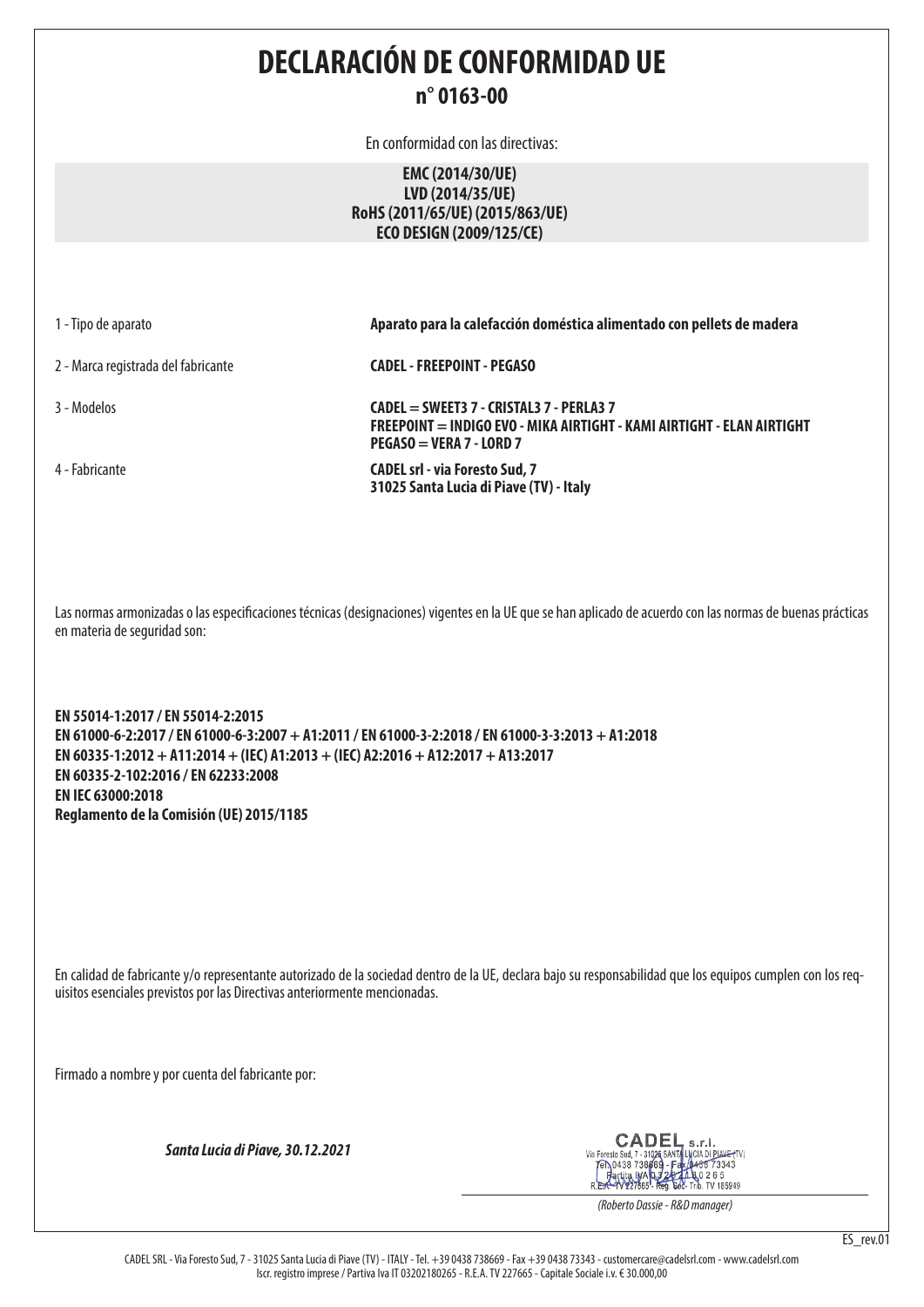**DECLARACIÓN DE CONFORMIDAD UE n° 0163-00**

En conformidad con las directivas:

**EMC (2014/30/UE) LVD (2014/35/UE) RoHS (2011/65/UE) (2015/863/UE) ECO DESIGN (2009/125/CE)**

1 - Tipo de aparato **Aparato para la calefacción doméstica alimentado con pellets de madera**

2 - Marca registrada del fabricante **CADEL - FREEPOINT - PEGASO**

3 - Modelos **CADEL = SWEET3 7 - CRISTAL3 7 - PERLA3 7 FREEPOINT = INDIGO EVO - MIKA AIRTIGHT - KAMI AIRTIGHT - ELAN AIRTIGHT PEGASO = VERA 7 - LORD 7**

4 - Fabricante **CADEL srl - via Foresto Sud, 7 31025 Santa Lucia di Piave (TV) - Italy**

Las normas armonizadas o las especificaciones técnicas (designaciones) vigentes en la UE que se han aplicado de acuerdo con las normas de buenas prácticas en materia de seguridad son:

**EN 55014-1:2017 / EN 55014-2:2015 EN 61000-6-2:2017 / EN 61000-6-3:2007 + A1:2011 / EN 61000-3-2:2018 / EN 61000-3-3:2013 + A1:2018 EN 60335-1:2012 + A11:2014 + (IEC) A1:2013 + (IEC) A2:2016 + A12:2017 + A13:2017 EN 60335-2-102:2016 / EN 62233:2008 EN IEC 63000:2018 Reglamento de la Comisión (UE) 2015/1185**

En calidad de fabricante y/o representante autorizado de la sociedad dentro de la UE, declara bajo su responsabilidad que los equipos cumplen con los requisitos esenciales previstos por las Directivas anteriormente mencionadas.

Firmado a nombre y por cuenta del fabricante por:

*Santa Lucia di Piave, 30.12.2021*

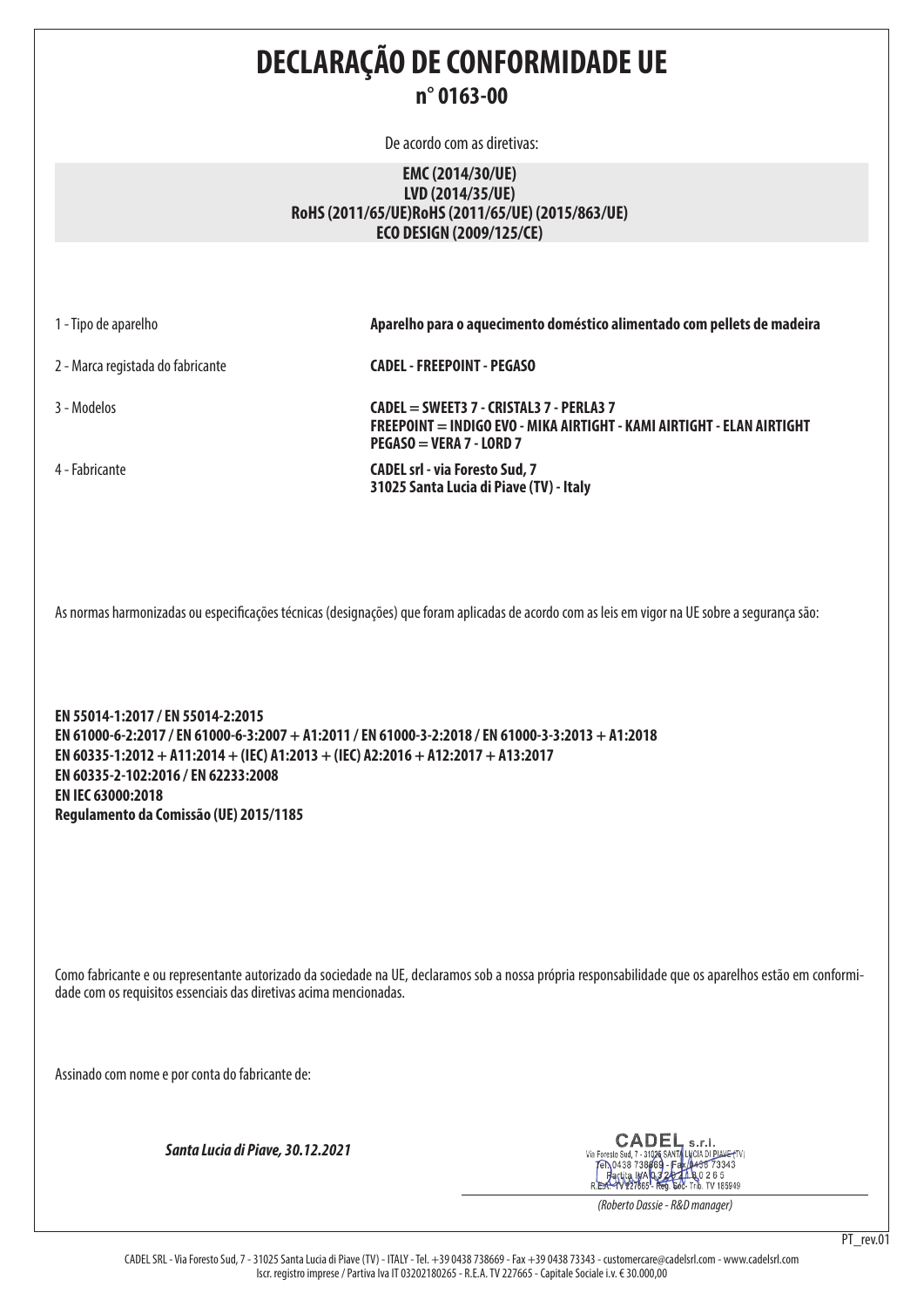**DECLARAÇÃO DE CONFORMIDADE UE n° 0163-00**

De acordo com as diretivas:

### **EMC (2014/30/UE) LVD (2014/35/UE) RoHS (2011/65/UE)RoHS (2011/65/UE) (2015/863/UE) ECO DESIGN (2009/125/CE)**

1 - Tipo de aparelho **Aparelho para o aquecimento doméstico alimentado com pellets de madeira** 2 - Marca registada do fabricante **CADEL - FREEPOINT - PEGASO** 3 - Modelos **CADEL = SWEET3 7 - CRISTAL3 7 - PERLA3 7 FREEPOINT = INDIGO EVO - MIKA AIRTIGHT - KAMI AIRTIGHT - ELAN AIRTIGHT PEGASO = VERA 7 - LORD 7** 4 - Fabricante **CADEL srl - via Foresto Sud, 7 31025 Santa Lucia di Piave (TV) - Italy**

As normas harmonizadas ou especificações técnicas (designações) que foram aplicadas de acordo com as leis em vigor na UE sobre a segurança são:

**EN 55014-1:2017 / EN 55014-2:2015 EN 61000-6-2:2017 / EN 61000-6-3:2007 + A1:2011 / EN 61000-3-2:2018 / EN 61000-3-3:2013 + A1:2018 EN 60335-1:2012 + A11:2014 + (IEC) A1:2013 + (IEC) A2:2016 + A12:2017 + A13:2017 EN 60335-2-102:2016 / EN 62233:2008 EN IEC 63000:2018 Regulamento da Comissão (UE) 2015/1185**

Como fabricante e ou representante autorizado da sociedade na UE, declaramos sob a nossa própria responsabilidade que os aparelhos estão em conformidade com os requisitos essenciais das diretivas acima mencionadas.

Assinado com nome e por conta do fabricante de:

*Santa Lucia di Piave, 30.12.2021*

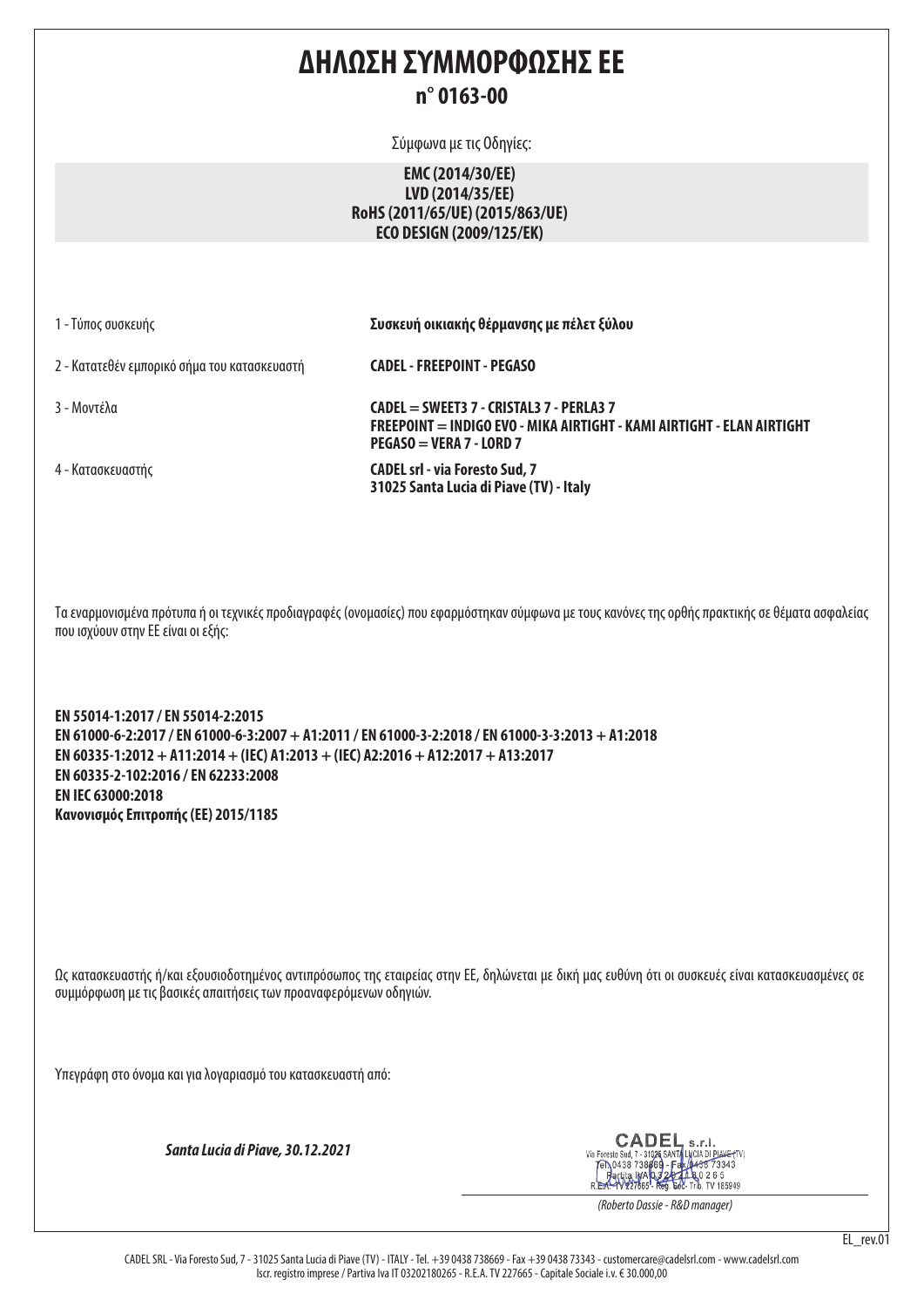# **ΔΗΛΩΣΗ ΣΥΜΜΟΡΦΩΣΗΣ ΕΕ n° 0163-00**

Σύμφωνα με τις Οδηγίες:

## **EMC (2014/30/EE) LVD (2014/35/EE) RoHS (2011/65/UE) (2015/863/UE) ECO DESIGN (2009/125/EK)**

1 - Τύπος συσκευής **Συσκευή οικιακής θέρμανσης με πέλετ ξύλου**

2 - Κατατεθέν εμπορικό σήμα του κατασκευαστή **CADEL - FREEPOINT - PEGASO**

3 - Μοντέλα **CADEL = SWEET3 7 - CRISTAL3 7 - PERLA3 7 FREEPOINT = INDIGO EVO - MIKA AIRTIGHT - KAMI AIRTIGHT - ELAN AIRTIGHT PEGASO = VERA 7 - LORD 7**

4 - Κατασκευαστής **CADEL srl - via Foresto Sud, 7 31025 Santa Lucia di Piave (TV) - Italy**

Τα εναρμονισμένα πρότυπα ή οι τεχνικές προδιαγραφές (ονομασίες) που εφαρμόστηκαν σύμφωνα με τους κανόνες της ορθής πρακτικής σε θέματα ασφαλείας που ισχύουν στην ΕΕ είναι οι εξής:

**EN 55014-1:2017 / EN 55014-2:2015 EN 61000-6-2:2017 / EN 61000-6-3:2007 + A1:2011 / EN 61000-3-2:2018 / EN 61000-3-3:2013 + A1:2018 EN 60335-1:2012 + A11:2014 + (IEC) A1:2013 + (IEC) A2:2016 + A12:2017 + A13:2017 EN 60335-2-102:2016 / EN 62233:2008 EN IEC 63000:2018 Κανονισμός Επιτροπής (ΕΕ) 2015/1185**

Ως κατασκευαστής ή/και εξουσιοδοτημένος αντιπρόσωπος της εταιρείας στην ΕΕ, δηλώνεται με δική μας ευθύνη ότι οι συσκευές είναι κατασκευασμένες σε συμμόρφωση με τις βασικές απαιτήσεις των προαναφερόμενων οδηγιών.

Υπεγράφη στο όνομα και για λογαριασμό του κατασκευαστή από:

*Santa Lucia di Piave, 30.12.2021*

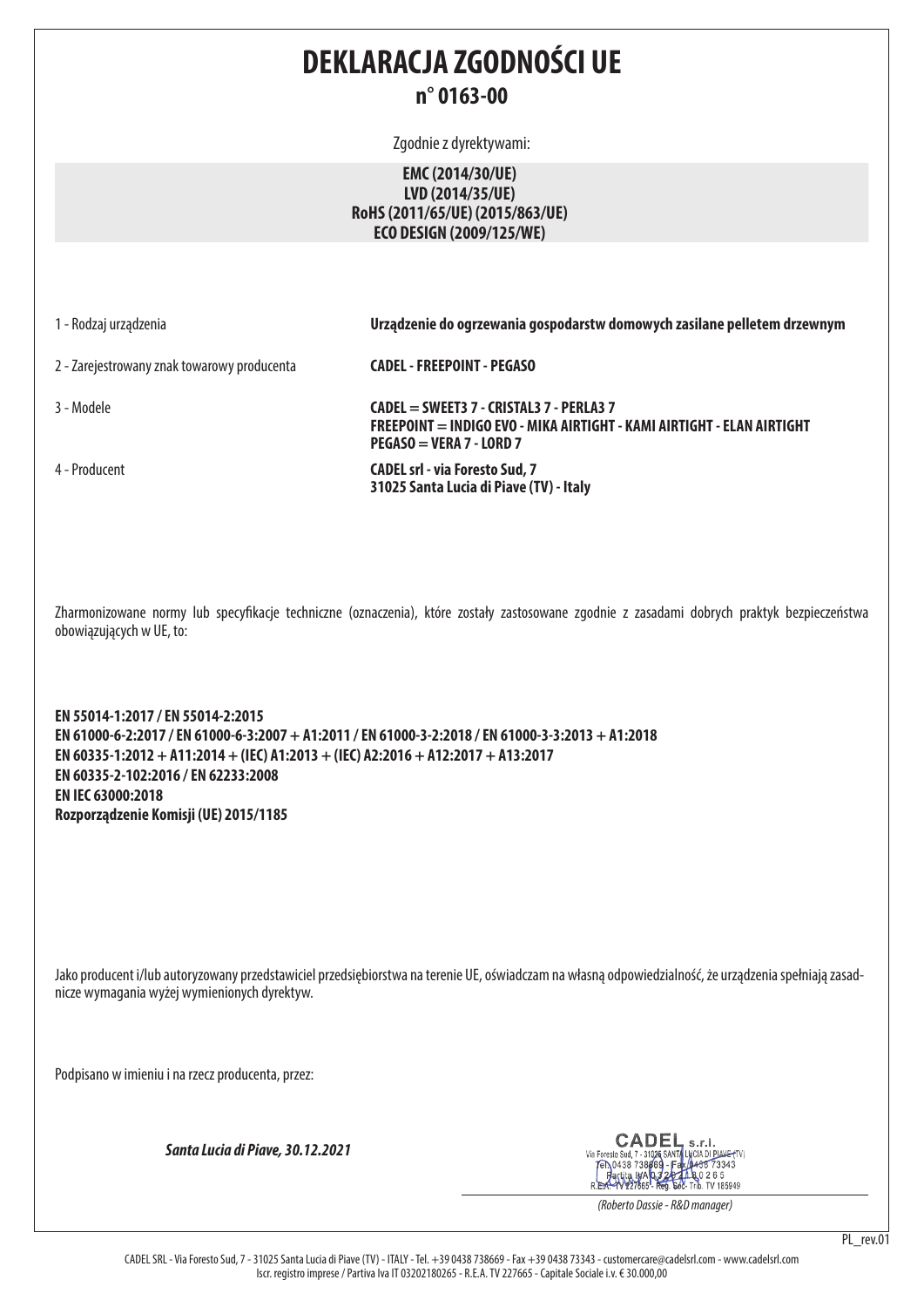# **DEKLARACJA ZGODNOŚCI UE n° 0163-00**

Zgodnie z dyrektywami:

## **EMC (2014/30/UE) LVD (2014/35/UE) RoHS (2011/65/UE) (2015/863/UE) ECO DESIGN (2009/125/WE)**

1 - Rodzaj urządzenia **Urządzenie do ogrzewania gospodarstw domowych zasilane pelletem drzewnym**

2 - Zarejestrowany znak towarowy producenta **CADEL - FREEPOINT - PEGASO**

3 - Modele **CADEL = SWEET3 7 - CRISTAL3 7 - PERLA3 7 FREEPOINT = INDIGO EVO - MIKA AIRTIGHT - KAMI AIRTIGHT - ELAN AIRTIGHT PEGASO = VERA 7 - LORD 7**

4 - Producent **CADEL srl - via Foresto Sud, 7 31025 Santa Lucia di Piave (TV) - Italy**

Zharmonizowane normy lub specyfikacje techniczne (oznaczenia), które zostały zastosowane zgodnie z zasadami dobrych praktyk bezpieczeństwa obowiązujących w UE, to:

**EN 55014-1:2017 / EN 55014-2:2015 EN 61000-6-2:2017 / EN 61000-6-3:2007 + A1:2011 / EN 61000-3-2:2018 / EN 61000-3-3:2013 + A1:2018 EN 60335-1:2012 + A11:2014 + (IEC) A1:2013 + (IEC) A2:2016 + A12:2017 + A13:2017 EN 60335-2-102:2016 / EN 62233:2008 EN IEC 63000:2018 Rozporządzenie Komisji (UE) 2015/1185**

Jako producent i/lub autoryzowany przedstawiciel przedsiębiorstwa na terenie UE, oświadczam na własną odpowiedzialność, że urządzenia spełniają zasadnicze wymagania wyżej wymienionych dyrektyw.

Podpisano w imieniu i na rzecz producenta, przez:

*Santa Lucia di Piave, 30.12.2021*